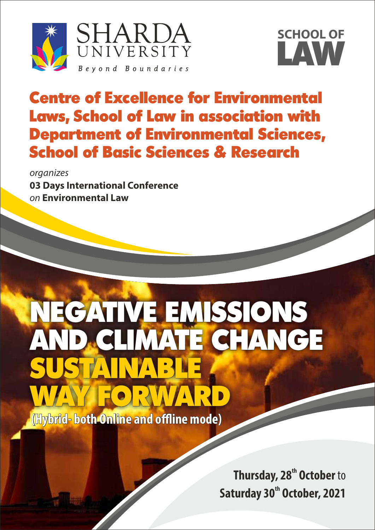



## Centre of Excellence for Environmental Laws, School of Law in association with Department of Environmental Sciences, School of Basic Sciences & Research

organizes **03 Days International Conference** on **Environmental Law** 

# NEGATIVE EMISSIONS AND CLIMATE CHANGE FAINTARE ORWARD

 **(Hybrid- both Online and offline mode)** 

**Thursday, 28<sup>th</sup> October** to **Saturday 30<sup>th</sup> October, 2021**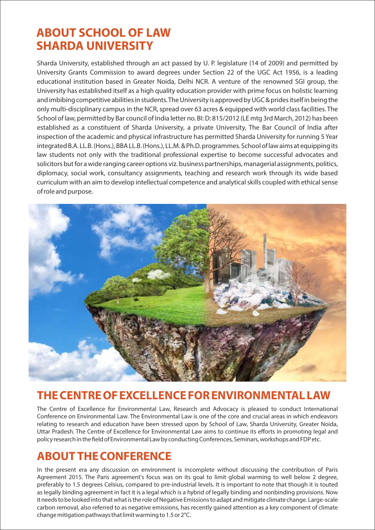## **ABOUT SCHOOL OF LAW SHARDA UNIVERSITY**

Sharda University, established through an act passed by U. P. legislature (14 of 2009) and permitted by University Grants Commission to award degrees under Section 22 of the UGC Act 1956, is a leading educational institution based in Greater Noida, Delhi NCR. A venture of the renowned SGI group, the University has established itself as a high quality education provider with prime focus on holistic learning and imbibing competitive abilities in students. The University is approved by UGC & prides itself in being the only multi-disciplinary campus in the NCR, spread over 63 acres & equipped with world class facilities. The School of law, permitted by Bar council of India letter no. BI: D: 815/2012 (LE mtg 3rd March, 2012) has been established as a constituent of Sharda University, a private University, The Bar Council of India after inspection of the academic and physical infrastructure has permitted Sharda University for running 5 Year integrated B.A. LL.B. (Hons.), BBA LL.B. (Hons.), LL.M. & Ph.D. programmes. School of law aims at equipping its law students not only with the traditional professional expertise to become successful advocates and solicitors but for a wide ranging career options viz. business partnerships, managerial assignments, politics, diplomacy, social work, consultancy assignments, teaching and research work through its wide based curriculum with an aim to develop intellectual competence and analytical skills coupled with ethical sense of role and purpose.



## **THE CENTRE OF EXCELLENCE FOR ENVIRONMENTAL LAW**

The Centre of Excellence for Environmental Law, Research and Advocacy is pleased to conduct International Conference on Environmental Law. The Environmental Law is one of the core and crucial areas in which endeavors relating to research and education have been stressed upon by School of Law, Sharda University, Greater Noida, Uttar Pradesh. The Centre of Excellence for Environmental Law aims to continue its efforts in promoting legal and policy research in the field of Environmental Law by conducting Conferences, Seminars, workshops and FDP etc.

## **ABOUT THE CONFERENCE**

In the present era any discussion on environment is incomplete without discussing the contribution of Paris Agreement 2015. The Paris agreement's focus was on its goal to limit global warming to well below 2 degree, preferably to 1.5 degrees Celsius, compared to pre-industrial levels. It is important to note that though it is touted as legally binding agreement in fact it is a legal which is a hybrid of legally binding and nonbinding provisions. Now it needs to be looked into that what is the role of Negative Emissions to adapt and mitigate climate change. Large-scale carbon removal, also referred to as negative emissions, has recently gained attention as a key component of climate change mitigation pathways that limit warming to 1.5 or 2°C.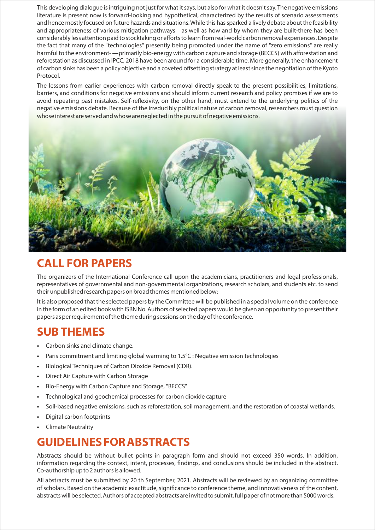This developing dialogue is intriguing not just for what it says, but also for what it doesn't say. The negative emissions literature is present now is forward-looking and hypothetical, characterized by the results of scenario assessments and hence mostly focused on future hazards and situations. While this has sparked a lively debate about the feasibility and appropriateness of various mitigation pathways—as well as how and by whom they are built-there has been considerably less attention paid to stocktaking or efforts to learn from real-world carbon removal experiences. Despite the fact that many of the "technologies" presently being promoted under the name of "zero emissions" are really harmful to the environment- —primarily bio-energy with carbon capture and storage (BECCS) with afforestation and reforestation as discussed in IPCC, 2018 have been around for a considerable time. More generally, the enhancement of carbon sinks has been a policy objective and a coveted offsetting strategy at least since the negotiation of the Kyoto Protocol.

The lessons from earlier experiences with carbon removal directly speak to the present possibilities, limitations, barriers, and conditions for negative emissions and should inform current research and policy promises if we are to avoid repeating past mistakes. Self-reflexivity, on the other hand, must extend to the underlying politics of the negative emissions debate. Because of the irreducibly political nature of carbon removal, researchers must question whose interest are served and whose are neglected in the pursuit of negative emissions.



## **CALL FOR PAPERS**

The organizers of the International Conference call upon the academicians, practitioners and legal professionals, representatives of governmental and non-governmental organizations, research scholars, and students etc. to send their unpublished research papers on broad themes mentioned below:

It is also proposed that the selected papers by the Committee will be published in a special volume on the conference in the form of an edited book with ISBN No. Authors of selected papers would be given an opportunity to present their papers as per requirement of the theme during sessions on the day of the conference.

### **SUB THEMES**

- Carbon sinks and climate change.
- Paris commitment and limiting global warming to 1.5°C : Negative emission technologies
- Biological Techniques of Carbon Dioxide Removal (CDR).
- Direct Air Capture with Carbon Storage
- Bio-Energy with Carbon Capture and Storage, "BECCS"
- Technological and geochemical processes for carbon dioxide capture
- Soil-based negative emissions, such as reforestation, soil management, and the restoration of coastal wetlands.
- Digital carbon footprints
- Climate Neutrality

## **GUIDELINES FOR ABSTRACTS**

Abstracts should be without bullet points in paragraph form and should not exceed 350 words. In addition, information regarding the context, intent, processes, findings, and conclusions should be included in the abstract. Co-authorship up to 2 authors is allowed.

All abstracts must be submitted by 20 th September, 2021. Abstracts will be reviewed by an organizing committee of scholars. Based on the academic exactitude, significance to conference theme, and innovativeness of the content, abstracts will be selected. Authors of accepted abstracts are invited to submit, full paper of not more than 5000 words.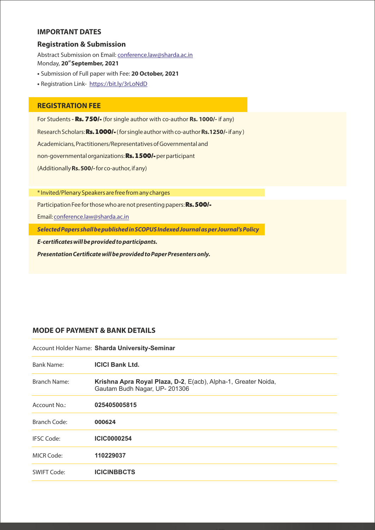#### **IMPORTANT DATES**

#### **Registration & Submission**

Abstract Submission on Email: conference.law@sharda.ac.in **st** Monday, **20 September, 2021**

- Submission of Full paper with Fee: **20 October, 2021**
- Registration Link- https://bit.ly/3rLoNdD

#### **REGISTRATION FEE**

For Students **-** Rs. 750/- (for single author with co-author **Rs. 1000/-** if any) Research Scholars: Rs.1000/-( for single author with co-author **Rs.1250/-**if any ) Academicians, Practitioners/Representatives of Governmental and non-governmental organizations: Rs.1500/-per participant (Additionally **Rs. 500/-** for co-author, if any)

\* Invited/Plenary Speakers are free from any charges

Participation Fee for those who are not presenting papers: Rs. 500/-

Email: conference.law@sharda.ac.in

**Selected Papers shall be published in SCOPUS Indexed Journal as per Journal's Policy**

**E-certificates will be provided to participants.** 

**Presentation Certificate will be provided to Paper Presenters only.** 

#### **MODE OF PAYMENT & BANK DETAILS**

Account Holder Name: **Sharda University-Seminar**

| Bank Name:        | <b>ICICI Bank Ltd.</b>                                                                         |
|-------------------|------------------------------------------------------------------------------------------------|
| Branch Name:      | Krishna Apra Royal Plaza, D-2, E(acb), Alpha-1, Greater Noida,<br>Gautam Budh Nagar, UP-201306 |
| Account No.:      | 025405005815                                                                                   |
| Branch Code:      | 000624                                                                                         |
| <b>IFSC Code:</b> | <b>ICIC0000254</b>                                                                             |
| MICR Code:        | 110229037                                                                                      |
| SWIFT Code:       | <b>ICICINBBCTS</b>                                                                             |